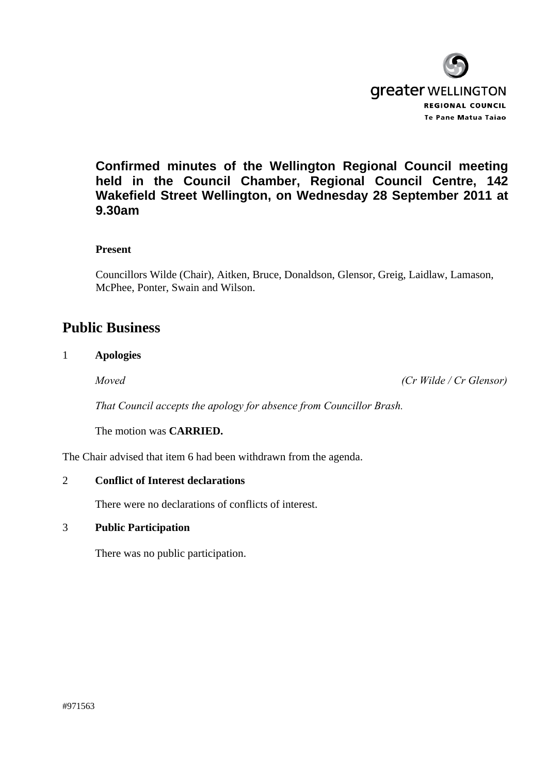

# **Confirmed minutes of the Wellington Regional Council meeting held in the Council Chamber, Regional Council Centre, 142 Wakefield Street Wellington, on Wednesday 28 September 2011 at 9.30am**

## **Present**

Councillors Wilde (Chair), Aitken, Bruce, Donaldson, Glensor, Greig, Laidlaw, Lamason, McPhee, Ponter, Swain and Wilson.

# **Public Business**

## 1 **Apologies**

*Moved (Cr Wilde / Cr Glensor)* 

*That Council accepts the apology for absence from Councillor Brash.* 

The motion was **CARRIED.** 

The Chair advised that item 6 had been withdrawn from the agenda.

## 2 **Conflict of Interest declarations**

There were no declarations of conflicts of interest.

## 3 **Public Participation**

There was no public participation.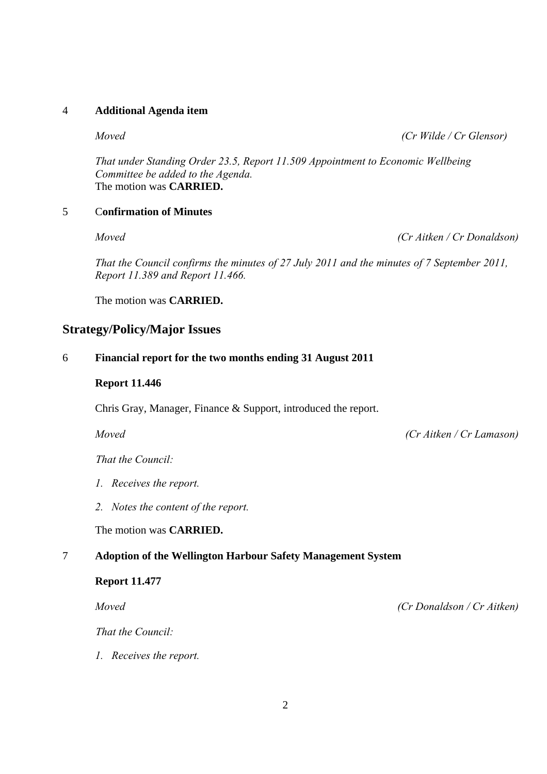## 4 **Additional Agenda item**

*Moved (Cr Wilde / Cr Glensor)* 

*That under Standing Order 23.5, Report 11.509 Appointment to Economic Wellbeing Committee be added to the Agenda.*  The motion was **CARRIED.** 

## 5 C**onfirmation of Minutes**

*Moved (Cr Aitken / Cr Donaldson)* 

 *That the Council confirms the minutes of 27 July 2011 and the minutes of 7 September 2011, Report 11.389 and Report 11.466.* 

The motion was **CARRIED.** 

## **Strategy/Policy/Major Issues**

## 6 **Financial report for the two months ending 31 August 2011**

 **Report 11.446** 

Chris Gray, Manager, Finance & Support, introduced the report.

*Moved (Cr Aitken / Cr Lamason)* 

 *That the Council:* 

- *1. Receives the report.*
- *2. Notes the content of the report.*

The motion was **CARRIED.** 

## 7 **Adoption of the Wellington Harbour Safety Management System**

## **Report 11.477**

 *Moved (Cr Donaldson / Cr Aitken)* 

 *That the Council:* 

*1. Receives the report.*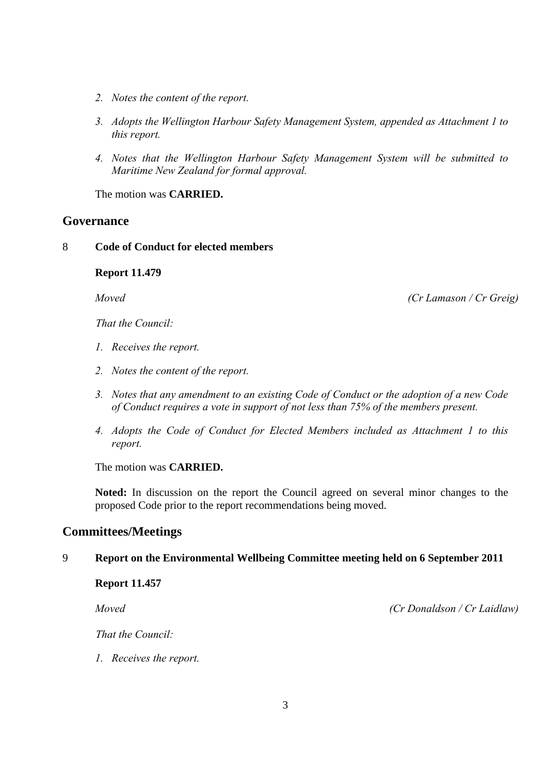- *2. Notes the content of the report.*
- *3. Adopts the Wellington Harbour Safety Management System, appended as Attachment 1 to this report.*
- *4. Notes that the Wellington Harbour Safety Management System will be submitted to Maritime New Zealand for formal approval.*

The motion was **CARRIED.** 

## **Governance**

## 8 **Code of Conduct for elected members**

**Report 11.479**

 *Moved (Cr Lamason / Cr Greig)* 

 *That the Council:* 

- *1. Receives the report.*
- *2. Notes the content of the report.*
- *3. Notes that any amendment to an existing Code of Conduct or the adoption of a new Code of Conduct requires a vote in support of not less than 75% of the members present.*
- *4. Adopts the Code of Conduct for Elected Members included as Attachment 1 to this report.*

The motion was **CARRIED.** 

**Noted:** In discussion on the report the Council agreed on several minor changes to the proposed Code prior to the report recommendations being moved.

## **Committees/Meetings**

## 9 **Report on the Environmental Wellbeing Committee meeting held on 6 September 2011**

**Report 11.457**

 *Moved (Cr Donaldson / Cr Laidlaw)* 

 *That the Council:* 

*1. Receives the report.*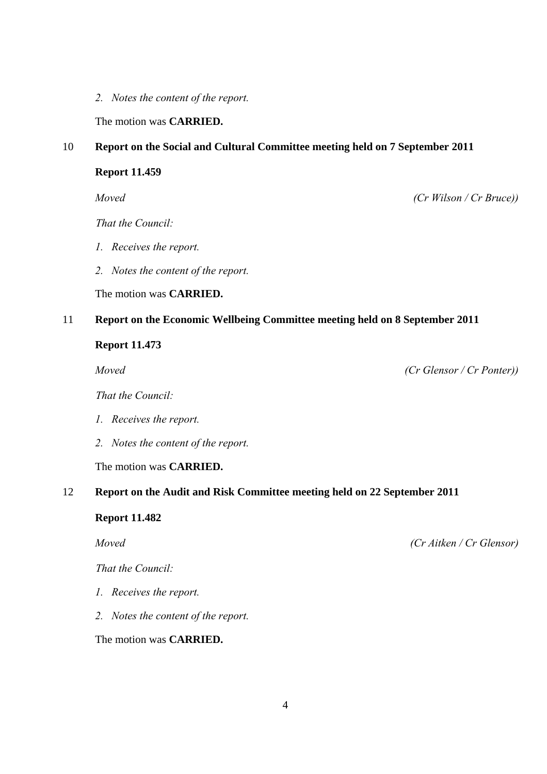*2. Notes the content of the report.* 

The motion was **CARRIED.** 

## 10 **Report on the Social and Cultural Committee meeting held on 7 September 2011**

## **Report 11.459**

 *That the Council:* 

- *1. Receives the report.*
- *2. Notes the content of the report.*

The motion was **CARRIED.** 

## 11 **Report on the Economic Wellbeing Committee meeting held on 8 September 2011**

## **Report 11.473**

 *Moved (Cr Glensor / Cr Ponter))* 

 *That the Council:* 

- *1. Receives the report.*
- *2. Notes the content of the report.*

The motion was **CARRIED.** 

## 12 **Report on the Audit and Risk Committee meeting held on 22 September 2011**

**Report 11.482**

 *That the Council:* 

- *1. Receives the report.*
- *2. Notes the content of the report.*

The motion was **CARRIED.** 

 *Moved (Cr Aitken / Cr Glensor)* 

 *Moved (Cr Wilson / Cr Bruce))*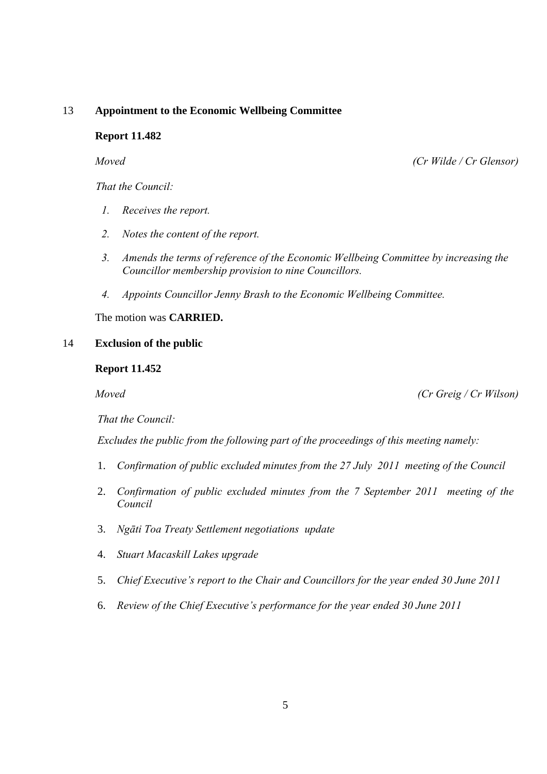## 13 **Appointment to the Economic Wellbeing Committee**

## **Report 11.482**

 *Moved (Cr Wilde / Cr Glensor)* 

*That the Council:*

- *1. Receives the report.*
- *2. Notes the content of the report.*
- *3. Amends the terms of reference of the Economic Wellbeing Committee by increasing the Councillor membership provision to nine Councillors.*
- *4. Appoints Councillor Jenny Brash to the Economic Wellbeing Committee.*

The motion was **CARRIED.** 

## 14 **Exclusion of the public**

#### **Report 11.452**

 *Moved (Cr Greig / Cr Wilson)* 

*That the Council:* 

 *Excludes the public from the following part of the proceedings of this meeting namely:* 

- 1. *Confirmation of public excluded minutes from the 27 July 2011 meeting of the Council*
- 2. *Confirmation of public excluded minutes from the 7 September 2011 meeting of the Council*
- 3. *Ngāti Toa Treaty Settlement negotiations update*
- 4. *Stuart Macaskill Lakes upgrade*
- 5. *Chief Executive's report to the Chair and Councillors for the year ended 30 June 2011*
- 6. *Review of the Chief Executive's performance for the year ended 30 June 2011*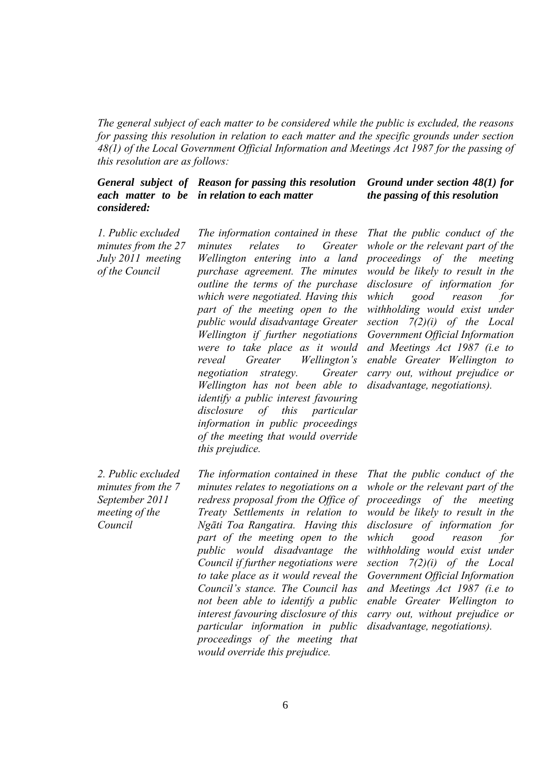*The general subject of each matter to be considered while the public is excluded, the reasons for passing this resolution in relation to each matter and the specific grounds under section 48(1) of the Local Government Official Information and Meetings Act 1987 for the passing of this resolution are as follows:* 

#### *General subject of Reason for passing this resolution each matter to be in relation to each matter considered: Ground under section 48(1) for the passing of this resolution*

 *1. Public excluded minutes from the 27 July 2011 meeting of the Council* 

*The information contained in these minutes relates to Greater Wellington entering into a land purchase agreement. The minutes outline the terms of the purchase which were negotiated. Having this part of the meeting open to the public would disadvantage Greater Wellington if further negotiations were to take place as it would reveal Greater Wellington's negotiation strategy. Greater Wellington has not been able to identify a public interest favouring disclosure of this particular information in public proceedings of the meeting that would override this prejudice.* 

*That the public conduct of the whole or the relevant part of the proceedings of the meeting would be likely to result in the disclosure of information for which good reason for withholding would exist under section 7(2)(i) of the Local Government Official Information and Meetings Act 1987 (i.e to enable Greater Wellington to carry out, without prejudice or disadvantage, negotiations).* 

 *2. Public excluded minutes from the 7 September 2011 meeting of the Council* 

*The information contained in these minutes relates to negotiations on a redress proposal from the Office of Treaty Settlements in relation to Ngāti Toa Rangatira. Having this part of the meeting open to the public would disadvantage the Council if further negotiations were to take place as it would reveal the Council's stance. The Council has not been able to identify a public interest favouring disclosure of this particular information in public proceedings of the meeting that would override this prejudice.* 

*That the public conduct of the whole or the relevant part of the proceedings of the meeting would be likely to result in the disclosure of information for which good reason for withholding would exist under section 7(2)(i) of the Local Government Official Information and Meetings Act 1987 (i.e to enable Greater Wellington to carry out, without prejudice or disadvantage, negotiations).*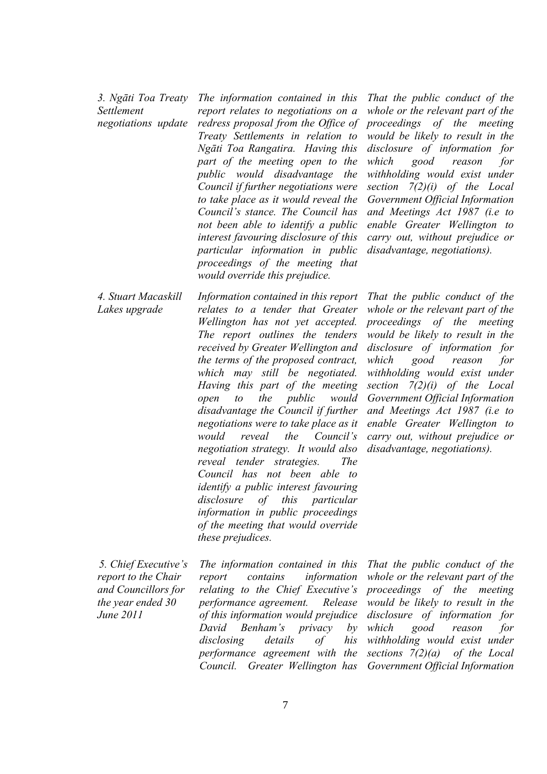*3. Ngāti Toa Treaty Settlement negotiations update*  *The information contained in this report relates to negotiations on a redress proposal from the Office of Treaty Settlements in relation to Ngāti Toa Rangatira. Having this part of the meeting open to the public would disadvantage the Council if further negotiations were to take place as it would reveal the Council's stance. The Council has not been able to identify a public interest favouring disclosure of this particular information in public proceedings of the meeting that would override this prejudice.* 

*That the public conduct of the whole or the relevant part of the proceedings of the meeting would be likely to result in the disclosure of information for which good reason for withholding would exist under section 7(2)(i) of the Local Government Official Information and Meetings Act 1987 (i.e to enable Greater Wellington to carry out, without prejudice or disadvantage, negotiations).* 

*4. Stuart Macaskill Lakes upgrade Information contained in this report relates to a tender that Greater Wellington has not yet accepted. The report outlines the tenders received by Greater Wellington and the terms of the proposed contract, which may still be negotiated. Having this part of the meeting open to the public would disadvantage the Council if further negotiations were to take place as it would reveal the Council's negotiation strategy. It would also reveal tender strategies. The Council has not been able to identify a public interest favouring disclosure of this particular information in public proceedings of the meeting that would override these prejudices.* 

*That the public conduct of the whole or the relevant part of the proceedings of the meeting would be likely to result in the disclosure of information for which good reason for withholding would exist under section 7(2)(i) of the Local Government Official Information and Meetings Act 1987 (i.e to enable Greater Wellington to carry out, without prejudice or disadvantage, negotiations).*

 *5. Chief Executive's report to the Chair and Councillors for the year ended 30 June 2011* 

*The information contained in this report contains information relating to the Chief Executive's performance agreement. Release of this information would prejudice David Benham's privacy by disclosing details of his performance agreement with the Council. Greater Wellington has* 

*That the public conduct of the whole or the relevant part of the proceedings of the meeting would be likely to result in the disclosure of information for which good reason for withholding would exist under sections 7(2)(a) of the Local Government Official Information*